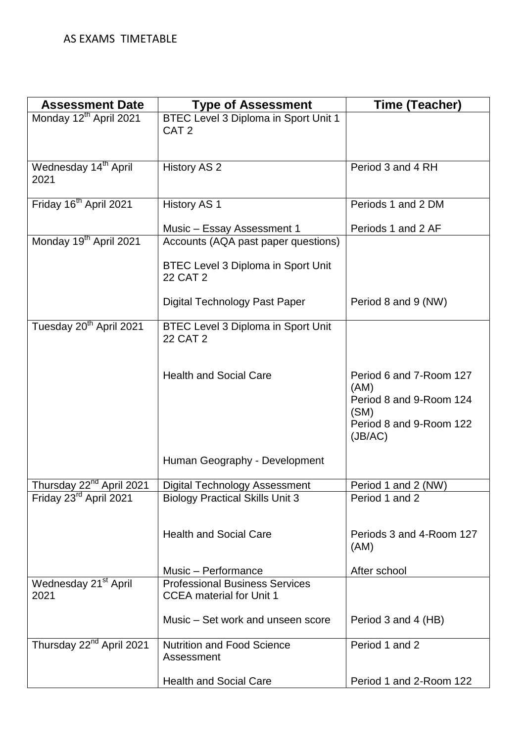| <b>Assessment Date</b>                   | <b>Type of Assessment</b>                                                | Time (Teacher)                                                                                           |
|------------------------------------------|--------------------------------------------------------------------------|----------------------------------------------------------------------------------------------------------|
| Monday 12 <sup>th</sup> April 2021       | BTEC Level 3 Diploma in Sport Unit 1<br>CAT <sub>2</sub>                 |                                                                                                          |
| Wednesday 14 <sup>th</sup> April<br>2021 | <b>History AS 2</b>                                                      | Period 3 and 4 RH                                                                                        |
| Friday 16 <sup>th</sup> April 2021       | <b>History AS 1</b>                                                      | Periods 1 and 2 DM                                                                                       |
|                                          | Music - Essay Assessment 1                                               | Periods 1 and 2 AF                                                                                       |
| Monday 19 <sup>th</sup> April 2021       | Accounts (AQA past paper questions)                                      |                                                                                                          |
|                                          | <b>BTEC Level 3 Diploma in Sport Unit</b><br>22 CAT 2                    |                                                                                                          |
|                                          | Digital Technology Past Paper                                            | Period 8 and 9 (NW)                                                                                      |
| Tuesday 20 <sup>th</sup> April 2021      | <b>BTEC Level 3 Diploma in Sport Unit</b><br>22 CAT 2                    |                                                                                                          |
|                                          | <b>Health and Social Care</b>                                            | Period 6 and 7-Room 127<br>(AM)<br>Period 8 and 9-Room 124<br>(SM)<br>Period 8 and 9-Room 122<br>(JB/AC) |
|                                          | Human Geography - Development                                            |                                                                                                          |
| Thursday 22 <sup>nd</sup> April 2021     | <b>Digital Technology Assessment</b>                                     | Period 1 and 2 (NW)                                                                                      |
| Friday 23rd April 2021                   | <b>Biology Practical Skills Unit 3</b>                                   | Period 1 and 2                                                                                           |
|                                          | <b>Health and Social Care</b>                                            | Periods 3 and 4-Room 127<br>(AM)                                                                         |
|                                          | Music - Performance                                                      | After school                                                                                             |
| Wednesday 21 <sup>st</sup> April<br>2021 | <b>Professional Business Services</b><br><b>CCEA</b> material for Unit 1 |                                                                                                          |
|                                          | Music - Set work and unseen score                                        | Period 3 and 4 (HB)                                                                                      |
| Thursday 22 <sup>nd</sup> April 2021     | <b>Nutrition and Food Science</b><br>Assessment                          | Period 1 and 2                                                                                           |
|                                          | <b>Health and Social Care</b>                                            | Period 1 and 2-Room 122                                                                                  |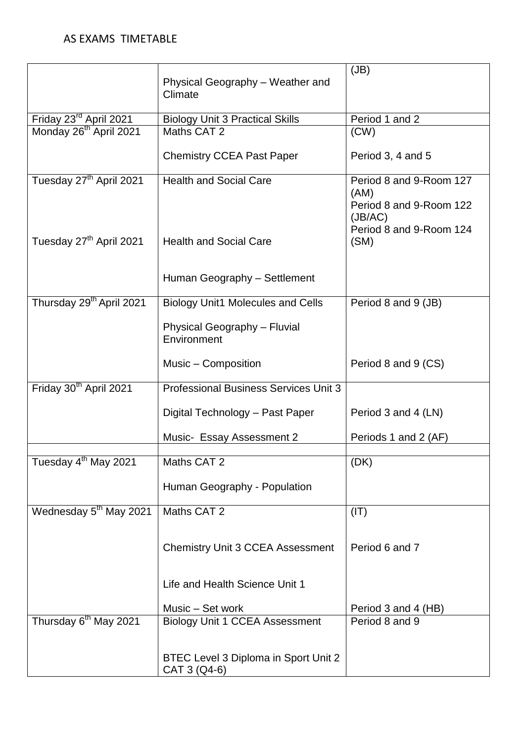|                                      | Physical Geography - Weather and                     | (JB)                                                                                             |
|--------------------------------------|------------------------------------------------------|--------------------------------------------------------------------------------------------------|
|                                      | Climate                                              |                                                                                                  |
| Friday 23rd April 2021               | <b>Biology Unit 3 Practical Skills</b>               | Period 1 and 2                                                                                   |
| Monday 26 <sup>th</sup> April 2021   | Maths CAT 2                                          | (CW)                                                                                             |
|                                      | <b>Chemistry CCEA Past Paper</b>                     | Period 3, 4 and 5                                                                                |
| Tuesday 27 <sup>th</sup> April 2021  | <b>Health and Social Care</b>                        | Period 8 and 9-Room 127<br>(AM)<br>Period 8 and 9-Room 122<br>(JB/AC)<br>Period 8 and 9-Room 124 |
| Tuesday 27 <sup>th</sup> April 2021  | <b>Health and Social Care</b>                        | (SM)                                                                                             |
|                                      | Human Geography - Settlement                         |                                                                                                  |
| Thursday 29 <sup>th</sup> April 2021 | <b>Biology Unit1 Molecules and Cells</b>             | Period 8 and 9 (JB)                                                                              |
|                                      | Physical Geography - Fluvial<br>Environment          |                                                                                                  |
|                                      | Music – Composition                                  | Period 8 and 9 (CS)                                                                              |
| Friday 30 <sup>th</sup> April 2021   | <b>Professional Business Services Unit 3</b>         |                                                                                                  |
|                                      | Digital Technology - Past Paper                      | Period 3 and 4 (LN)                                                                              |
|                                      | Music- Essay Assessment 2                            | Periods 1 and 2 (AF)                                                                             |
| Tuesday 4 <sup>th</sup> May 2021     | Maths CAT 2                                          | (DK)                                                                                             |
|                                      | Human Geography - Population                         |                                                                                                  |
| Wednesday 5 <sup>th</sup> May 2021   | Maths CAT 2                                          | (IT)                                                                                             |
|                                      |                                                      |                                                                                                  |
|                                      | <b>Chemistry Unit 3 CCEA Assessment</b>              | Period 6 and 7                                                                                   |
|                                      | Life and Health Science Unit 1                       |                                                                                                  |
|                                      | Music - Set work                                     | Period 3 and 4 (HB)                                                                              |
| Thursday 6 <sup>th</sup> May 2021    | <b>Biology Unit 1 CCEA Assessment</b>                | Period 8 and 9                                                                                   |
|                                      | BTEC Level 3 Diploma in Sport Unit 2<br>CAT 3 (Q4-6) |                                                                                                  |